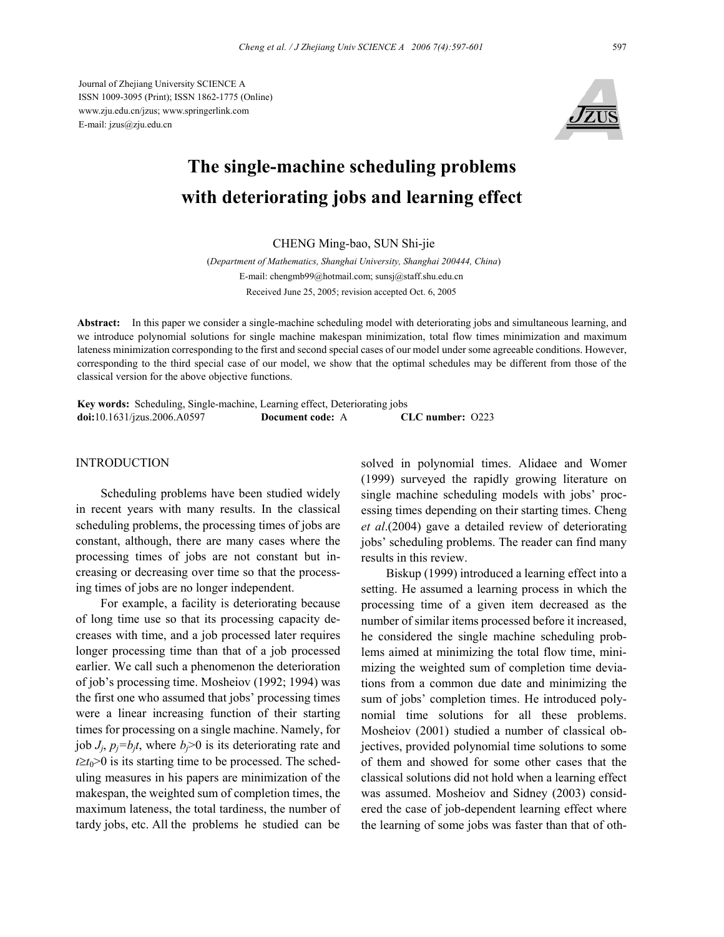Journal of Zhejiang University SCIENCE A ISSN 1009-3095 (Print); ISSN 1862-1775 (Online) www.zju.edu.cn/jzus; www.springerlink.com E-mail: jzus@zju.edu.cn



# **The single-machine scheduling problems with deteriorating jobs and learning effect**

## CHENG Ming-bao, SUN Shi-jie

(*Department of Mathematics, Shanghai University, Shanghai 200444, China*) E-mail: chengmb99@hotmail.com; sunsj@staff.shu.edu.cn Received June 25, 2005; revision accepted Oct. 6, 2005

**Abstract:** In this paper we consider a single-machine scheduling model with deteriorating jobs and simultaneous learning, and we introduce polynomial solutions for single machine makespan minimization, total flow times minimization and maximum lateness minimization corresponding to the first and second special cases of our model under some agreeable conditions. However, corresponding to the third special case of our model, we show that the optimal schedules may be different from those of the classical version for the above objective functions.

**Key words:** Scheduling, Single-machine, Learning effect, Deteriorating jobs **doi:**10.1631/jzus.2006.A0597 **Document code:** A **CLC number:** O223

# **INTRODUCTION**

Scheduling problems have been studied widely in recent years with many results. In the classical scheduling problems, the processing times of jobs are constant, although, there are many cases where the processing times of jobs are not constant but increasing or decreasing over time so that the processing times of jobs are no longer independent.

For example, a facility is deteriorating because of long time use so that its processing capacity decreases with time, and a job processed later requires longer processing time than that of a job processed earlier. We call such a phenomenon the deterioration of job's processing time. Mosheiov (1992; 1994) was the first one who assumed that jobs' processing times were a linear increasing function of their starting times for processing on a single machine. Namely, for job  $J_i$ ,  $p_j = b_j t$ , where  $b_j > 0$  is its deteriorating rate and  $t \geq t_0$ >0 is its starting time to be processed. The scheduling measures in his papers are minimization of the makespan, the weighted sum of completion times, the maximum lateness, the total tardiness, the number of tardy jobs, etc. All the problems he studied can be

solved in polynomial times. Alidaee and Womer (1999) surveyed the rapidly growing literature on single machine scheduling models with jobs' processing times depending on their starting times. Cheng *et al*.(2004) gave a detailed review of deteriorating jobs' scheduling problems. The reader can find many results in this review.

Biskup (1999) introduced a learning effect into a setting. He assumed a learning process in which the processing time of a given item decreased as the number of similar items processed before it increased, he considered the single machine scheduling problems aimed at minimizing the total flow time, minimizing the weighted sum of completion time deviations from a common due date and minimizing the sum of jobs' completion times. He introduced polynomial time solutions for all these problems. Mosheiov (2001) studied a number of classical objectives, provided polynomial time solutions to some of them and showed for some other cases that the classical solutions did not hold when a learning effect was assumed. Mosheiov and Sidney (2003) considered the case of job-dependent learning effect where the learning of some jobs was faster than that of oth-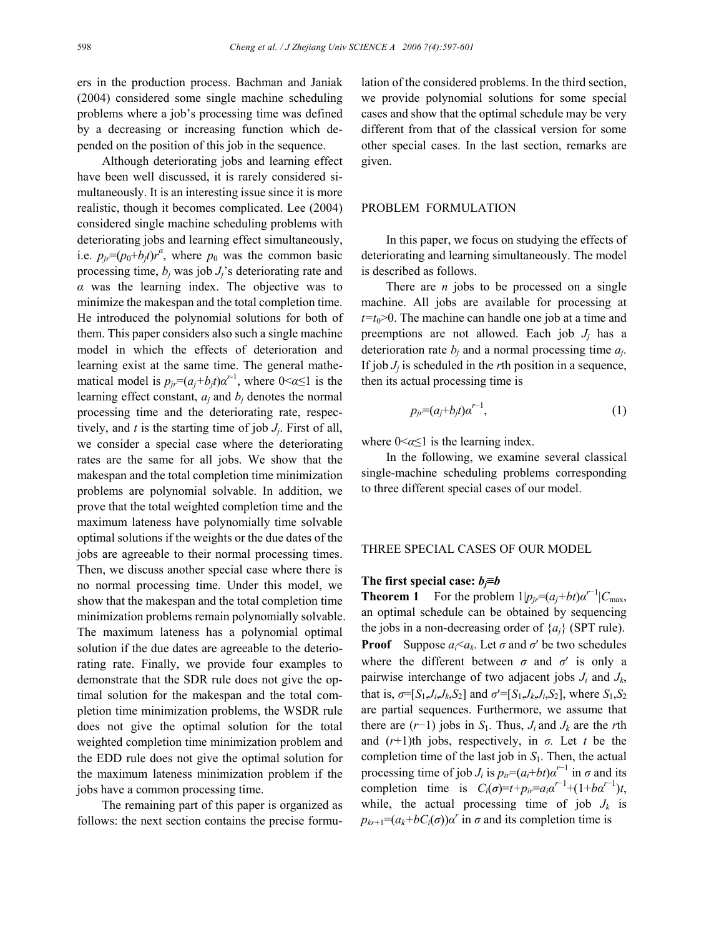ers in the production process. Bachman and Janiak (2004) considered some single machine scheduling problems where a job's processing time was defined by a decreasing or increasing function which depended on the position of this job in the sequence.

Although deteriorating jobs and learning effect have been well discussed, it is rarely considered simultaneously. It is an interesting issue since it is more realistic, though it becomes complicated. Lee (2004) considered single machine scheduling problems with deteriorating jobs and learning effect simultaneously, i.e.  $p_{jr} = (p_0 + b_j t)r^a$ , where  $p_0$  was the common basic processing time,  $b_i$  was job  $J_i$ 's deteriorating rate and *α* was the learning index. The objective was to minimize the makespan and the total completion time. He introduced the polynomial solutions for both of them. This paper considers also such a single machine model in which the effects of deterioration and learning exist at the same time. The general mathematical model is  $p_{ji} = (a_j + b_j t) \alpha^{r-1}$ , where  $0 \le \alpha \le 1$  is the learning effect constant,  $a_i$  and  $b_j$  denotes the normal processing time and the deteriorating rate, respectively, and *t* is the starting time of job *Jj*. First of all, we consider a special case where the deteriorating rates are the same for all jobs. We show that the makespan and the total completion time minimization problems are polynomial solvable. In addition, we prove that the total weighted completion time and the maximum lateness have polynomially time solvable optimal solutions if the weights or the due dates of the jobs are agreeable to their normal processing times. Then, we discuss another special case where there is no normal processing time. Under this model, we show that the makespan and the total completion time minimization problems remain polynomially solvable. The maximum lateness has a polynomial optimal solution if the due dates are agreeable to the deteriorating rate. Finally, we provide four examples to demonstrate that the SDR rule does not give the optimal solution for the makespan and the total completion time minimization problems, the WSDR rule does not give the optimal solution for the total weighted completion time minimization problem and the EDD rule does not give the optimal solution for the maximum lateness minimization problem if the jobs have a common processing time.

The remaining part of this paper is organized as follows: the next section contains the precise formulation of the considered problems. In the third section, we provide polynomial solutions for some special cases and show that the optimal schedule may be very different from that of the classical version for some other special cases. In the last section, remarks are given.

# PROBLEM FORMULATION

In this paper, we focus on studying the effects of deteriorating and learning simultaneously. The model is described as follows.

There are *n* jobs to be processed on a single machine. All jobs are available for processing at  $t=t_0>0$ . The machine can handle one job at a time and preemptions are not allowed. Each job  $J_i$  has a deterioration rate  $b_i$  and a normal processing time  $a_i$ . If job  $J_i$  is scheduled in the *r*th position in a sequence, then its actual processing time is

$$
p_{jr} = (a_j + b_j t)\alpha^{r-1},\tag{1}
$$

where  $0 \leq \alpha \leq 1$  is the learning index.

In the following, we examine several classical single-machine scheduling problems corresponding to three different special cases of our model.

## THREE SPECIAL CASES OF OUR MODEL

#### **The first special case:** *bj***≡***b*

**Theorem 1** For the problem  $1|p_{ir} = (a_i + bt)a^{r-1}|C_{\text{max}}$ , an optimal schedule can be obtained by sequencing the jobs in a non-decreasing order of  $\{a_i\}$  (SPT rule). **Proof** Suppose  $a_i \leq a_k$ . Let  $\sigma$  and  $\sigma'$  be two schedules where the different between  $\sigma$  and  $\sigma'$  is only a pairwise interchange of two adjacent jobs *Ji* and *Jk*, that is,  $\sigma = [S_1, J_i, J_k, S_2]$  and  $\sigma' = [S_1, J_k, J_i, S_2]$ , where  $S_1, S_2$ are partial sequences. Furthermore, we assume that there are  $(r-1)$  jobs in *S*<sub>1</sub>. Thus, *J<sub>i</sub>* and *J<sub>k</sub>* are the *r*th and (*r*+1)th jobs, respectively, in *σ.* Let *t* be the completion time of the last job in  $S<sub>1</sub>$ . Then, the actual processing time of job  $J_i$  is  $p_{ir}=(a_i+bt)a^{r-1}$  in  $\sigma$  and its completion time is  $C_i(\sigma) = t + p_i = a_i \alpha^{r-1} + (1 + b \alpha^{r-1})t$ , while, the actual processing time of job  $J_k$  is  $p_{kr+1} = (a_k + bC_i(\sigma))\alpha^r$  in  $\sigma$  and its completion time is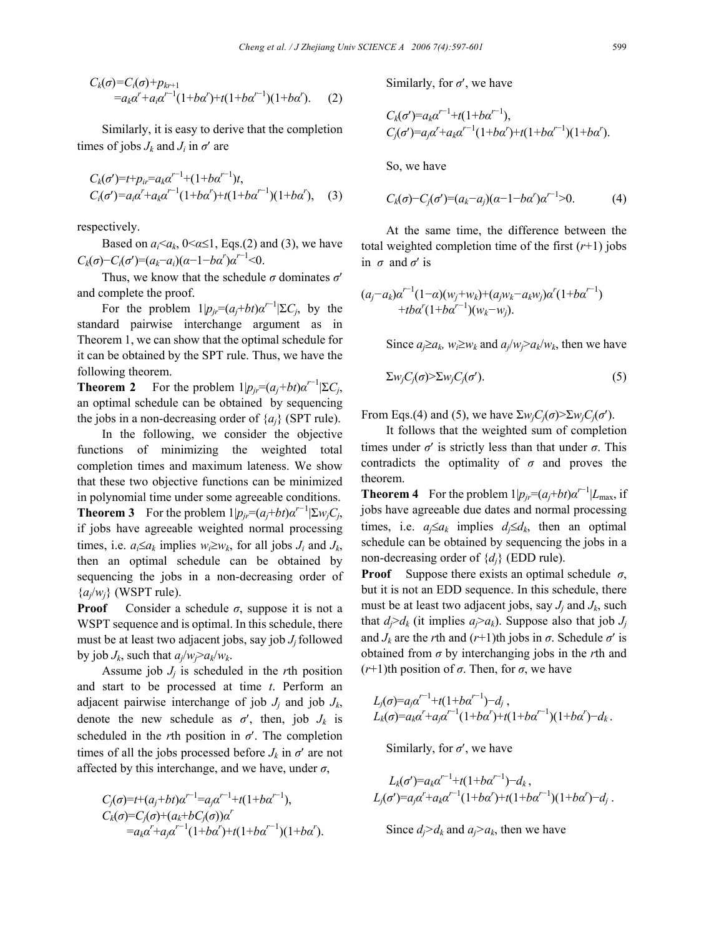$$
C_k(\sigma) = C_i(\sigma) + p_{kr+1}
$$
  
= a\_k a<sup>r</sup> + a\_i a<sup>r-1</sup> (1+ba<sup>r</sup>) + t(1+ba<sup>r-1</sup>)(1+ba<sup>r</sup>). (2)

Similarly, it is easy to derive that the completion times of jobs  $J_k$  and  $J_i$  in  $\sigma'$  are

$$
C_k(\sigma') = t + p_{ir} = a_k \alpha^{r-1} + (1 + b\alpha^{r-1})t,
$$
  
\n
$$
C_i(\sigma') = a_i \alpha^r + a_k \alpha^{r-1} (1 + b\alpha^r) + t(1 + b\alpha^{r-1}) (1 + b\alpha^r),
$$
 (3)

respectively.

Based on  $a_i \leq a_k$ ,  $0 \leq \alpha \leq 1$ , Eqs.(2) and (3), we have *C<sub>k</sub>*( $\sigma$ )−*C<sub>i</sub>*( $\sigma$ ')=( $a_k$ − $a_i$ )( $\alpha$ −1− $b\alpha$ <sup>r</sup>) $\alpha$ <sup>*r*−1</sup><0.

Thus, we know that the schedule *σ* dominates *σ*′ and complete the proof.

For the problem  $1|p_{jr}=(a_j+b_j)a^{\prime-1}|\Sigma C_j$ , by the standard pairwise interchange argument as in Theorem 1, we can show that the optimal schedule for it can be obtained by the SPT rule. Thus, we have the following theorem.

**Theorem 2** For the problem  $1|p_{jr} = (a_j + bt)a^{r-1}|\Sigma C_j$ , an optimal schedule can be obtained by sequencing the jobs in a non-decreasing order of  $\{a_i\}$  (SPT rule).

In the following, we consider the objective functions of minimizing the weighted total completion times and maximum lateness. We show that these two objective functions can be minimized in polynomial time under some agreeable conditions. **Theorem 3** For the problem  $1|p_{jr}=(a_j+b t)a^{r-1}|\Sigma w_jC_j$ , if jobs have agreeable weighted normal processing times, i.e.  $a_i \le a_k$  implies  $w_i \ge w_k$ , for all jobs  $J_i$  and  $J_k$ , then an optimal schedule can be obtained by sequencing the jobs in a non-decreasing order of  ${a_i/w_i}$  (WSPT rule).

**Proof** Consider a schedule  $\sigma$ , suppose it is not a WSPT sequence and is optimal. In this schedule, there must be at least two adjacent jobs, say job *J<sub>i</sub>* followed by job  $J_k$ , such that  $a_i/w_i > a_k/w_k$ .

Assume job  $J_i$  is scheduled in the *r*th position and start to be processed at time *t*. Perform an adjacent pairwise interchange of job  $J_i$  and job  $J_k$ , denote the new schedule as  $\sigma'$ , then, job  $J_k$  is scheduled in the *r*th position in *σ*′. The completion times of all the jobs processed before  $J_k$  in  $\sigma'$  are not affected by this interchange, and we have, under  $\sigma$ ,

$$
C_j(\sigma) = t + (a_j + bt)\alpha'^{-1} = a_j\alpha'^{-1} + t(1 + b\alpha'^{-1}),
$$
  
\n
$$
C_k(\sigma) = C_j(\sigma) + (a_k + bC_j(\sigma))\alpha'
$$
  
\n
$$
= a_k\alpha' + a_j\alpha'^{-1}(1 + b\alpha') + t(1 + b\alpha'^{-1})(1 + b\alpha').
$$

Similarly, for *σ*′, we have

$$
C_k(\sigma') = a_k \alpha'^{-1} + t(1 + b\alpha'^{-1}),
$$
  
\n
$$
C_j(\sigma') = a_j \alpha' + a_k \alpha'^{-1} (1 + b\alpha') + t(1 + b\alpha'^{-1}) (1 + b\alpha').
$$

So, we have

$$
C_k(\sigma) - C_j(\sigma') = (a_k - a_j)(\alpha - 1 - b\alpha')\alpha'^{-1} > 0.
$$
 (4)

At the same time, the difference between the total weighted completion time of the first  $(r+1)$  jobs in  $\sigma$  and  $\sigma'$  is

$$
(a_j-a_k)\alpha'^{-1}(1-\alpha)(w_j+w_k)+(a_jw_k-a_kw_j)\alpha'(1+b\alpha'^{-1})+tba'(1+ba'^{-1})(w_k-w_j).
$$

Since  $a_j \ge a_k$ ,  $w_i \ge w_k$  and  $a_j/w_j > a_k/w_k$ , then we have

$$
\sum w_j C_j(\sigma) > \sum w_j C_j(\sigma'). \tag{5}
$$

From Eqs.(4) and (5), we have  $\sum w_i C_i(\sigma) \geq \sum w_i C_i(\sigma')$ .

It follows that the weighted sum of completion times under  $\sigma'$  is strictly less than that under  $\sigma$ . This contradicts the optimality of  $\sigma$  and proves the theorem.

**Theorem 4** For the problem  $1|p_{ir}=(a_i+bt)a^{r-1}|L_{\text{max}}$ , if jobs have agreeable due dates and normal processing times, i.e.  $a_j \le a_k$  implies  $d_j \le d_k$ , then an optimal schedule can be obtained by sequencing the jobs in a non-decreasing order of  $\{d_i\}$  (EDD rule).

**Proof** Suppose there exists an optimal schedule  $\sigma$ , but it is not an EDD sequence. In this schedule, there must be at least two adjacent jobs, say *Jj* and *Jk*, such that  $d_i > d_k$  (it implies  $a_i > a_k$ ). Suppose also that job  $J_i$ and  $J_k$  are the *r*th and  $(r+1)$ th jobs in  $\sigma$ . Schedule  $\sigma'$  is obtained from *σ* by interchanging jobs in the *r*th and (*r*+1)th position of *σ*. Then, for *σ*, we have

$$
L_j(\sigma) = a_j \alpha^{r-1} + t(1 + b \alpha^{r-1}) - d_j,
$$
  
\n
$$
L_k(\sigma) = a_k \alpha^r + a_j \alpha^{r-1} (1 + b \alpha^r) + t(1 + b \alpha^{r-1}) (1 + b \alpha^r) - d_k.
$$

Similarly, for  $\sigma'$ , we have

$$
L_k(\sigma') = a_k \alpha'^{-1} + t(1 + b\alpha'^{-1}) - d_k,
$$
  
\n
$$
L_j(\sigma') = a_j \alpha' + a_k \alpha'^{-1} (1 + b\alpha') + t(1 + b\alpha'^{-1})(1 + b\alpha') - d_j.
$$

Since  $d_i > d_k$  and  $a_i > a_k$ , then we have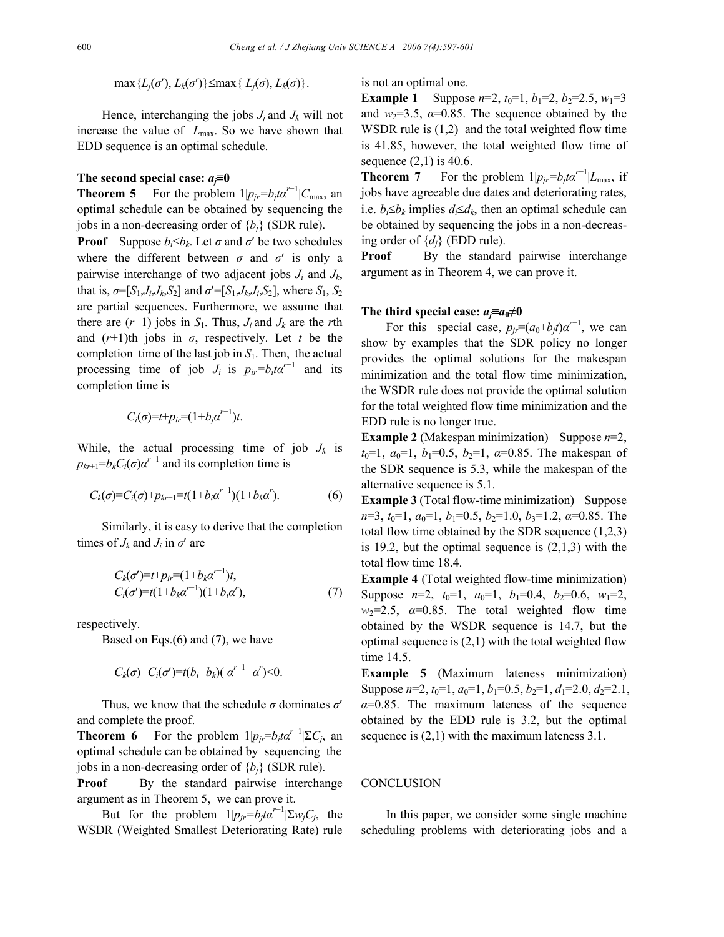$\max \{L_i(\sigma'), L_k(\sigma')\} \leq \max \{L_i(\sigma), L_k(\sigma)\}.$ 

Hence, interchanging the jobs  $J_i$  and  $J_k$  will not increase the value of *L*max. So we have shown that EDD sequence is an optimal schedule.

#### **The second special case:** *aj***≡0**

**Theorem 5** For the problem  $1|p_{jr}=b_jt\alpha^{r-1}|C_{\text{max}}$ , an optimal schedule can be obtained by sequencing the jobs in a non-decreasing order of  ${b_i}$  (SDR rule).

**Proof** Suppose  $b_i \le b_k$ . Let  $\sigma$  and  $\sigma'$  be two schedules where the different between  $\sigma$  and  $\sigma'$  is only a pairwise interchange of two adjacent jobs  $J_i$  and  $J_k$ , that is,  $\sigma = [S_1, J_i, J_k, S_2]$  and  $\sigma' = [S_1, J_k, J_i, S_2]$ , where  $S_1, S_2$ are partial sequences. Furthermore, we assume that there are  $(r-1)$  jobs in *S*<sub>1</sub>. Thus, *J<sub>i</sub>* and *J<sub>k</sub>* are the *r*th and  $(r+1)$ th jobs in  $\sigma$ , respectively. Let *t* be the completion time of the last job in  $S_1$ . Then, the actual processing time of job  $J_i$  is  $p_{ir} = b_i t \alpha^{r-1}$  and its completion time is

$$
C_i(\sigma) = t + p_{ir} = (1 + b_j \alpha^{r-1})t.
$$

While, the actual processing time of job  $J_k$  is  $p_{kr+1} = b_k C_i(\sigma) \alpha^{r-1}$  and its completion time is

$$
C_k(\sigma) = C_i(\sigma) + p_{kr+1} = t(1 + b_i \alpha^{r-1})(1 + b_k \alpha^r). \tag{6}
$$

Similarly, it is easy to derive that the completion times of  $J_k$  and  $J_i$  in  $\sigma'$  are

$$
C_k(\sigma') = t + p_{ir} = (1 + b_k \alpha'^{-1})t,
$$
  
\n
$$
C_i(\sigma') = t(1 + b_k \alpha'^{-1})(1 + b_i \alpha'),
$$
\n(7)

respectively.

Based on Eqs.(6) and (7), we have

$$
C_k(\sigma) - C_i(\sigma') = t(b_i - b_k)(\alpha^{r-1} - \alpha') < 0.
$$

Thus, we know that the schedule *σ* dominates *σ*′ and complete the proof.

**Theorem 6** For the problem  $1|p_{ji}=b_jt\alpha^{r-1}|\Sigma C_j$ , and optimal schedule can be obtained by sequencing the jobs in a non-decreasing order of  ${b_i}$  (SDR rule).

**Proof** By the standard pairwise interchange argument as in Theorem 5, we can prove it.

But for the problem  $1|p_{jr}=b_jt\alpha^{r-1}|\Sigma w_jC_j|$ , the WSDR (Weighted Smallest Deteriorating Rate) rule

is not an optimal one.

**Example 1** Suppose  $n=2$ ,  $t_0=1$ ,  $b_1=2$ ,  $b_2=2.5$ ,  $w_1=3$ and  $w_2=3.5$ ,  $\alpha=0.85$ . The sequence obtained by the WSDR rule is (1,2) and the total weighted flow time is 41.85, however, the total weighted flow time of sequence  $(2,1)$  is 40.6.

**Theorem 7** For the problem  $1|p_{jr}=b_jt\alpha^{r-1}|L_{\text{max}}$ , if jobs have agreeable due dates and deteriorating rates, i.e.  $b_i \leq b_k$  implies  $d_i \leq d_k$ , then an optimal schedule can be obtained by sequencing the jobs in a non-decreasing order of  $\{d_i\}$  (EDD rule).

**Proof** By the standard pairwise interchange argument as in Theorem 4, we can prove it.

## **The third special case:**  $a_i \equiv a_0 \neq 0$

For this special case,  $p_{jr}=(a_0+b_jt)\alpha^{r-1}$ , we can show by examples that the SDR policy no longer provides the optimal solutions for the makespan minimization and the total flow time minimization, the WSDR rule does not provide the optimal solution for the total weighted flow time minimization and the EDD rule is no longer true.

**Example 2** (Makespan minimization) Suppose *n*=2,  $t_0$ =1,  $a_0$ =1,  $b_1$ =0.5,  $b_2$ =1,  $a$ =0.85. The makespan of the SDR sequence is 5.3, while the makespan of the alternative sequence is 5.1.

**Example 3** (Total flow-time minimization) Suppose *n*=3, *t*<sub>0</sub>=1, *a*<sub>0</sub>=1, *b*<sub>1</sub>=0.5, *b*<sub>2</sub>=1.0, *b*<sub>3</sub>=1.2, *α*=0.85. The total flow time obtained by the SDR sequence (1,2,3) is 19.2, but the optimal sequence is  $(2,1,3)$  with the total flow time 18.4.

**Example 4** (Total weighted flow-time minimization) Suppose  $n=2$ ,  $t_0=1$ ,  $a_0=1$ ,  $b_1=0.4$ ,  $b_2=0.6$ ,  $w_1=2$ ,  $w_2=2.5$ ,  $\alpha=0.85$ . The total weighted flow time obtained by the WSDR sequence is 14.7, but the optimal sequence is (2,1) with the total weighted flow time 14.5.

**Example 5** (Maximum lateness minimization) Suppose  $n=2$ ,  $t_0=1$ ,  $a_0=1$ ,  $b_1=0.5$ ,  $b_2=1$ ,  $d_1=2.0$ ,  $d_2=2.1$ ,  $\alpha$ =0.85. The maximum lateness of the sequence obtained by the EDD rule is 3.2, but the optimal sequence is  $(2,1)$  with the maximum lateness 3.1.

#### **CONCLUSION**

In this paper, we consider some single machine scheduling problems with deteriorating jobs and a